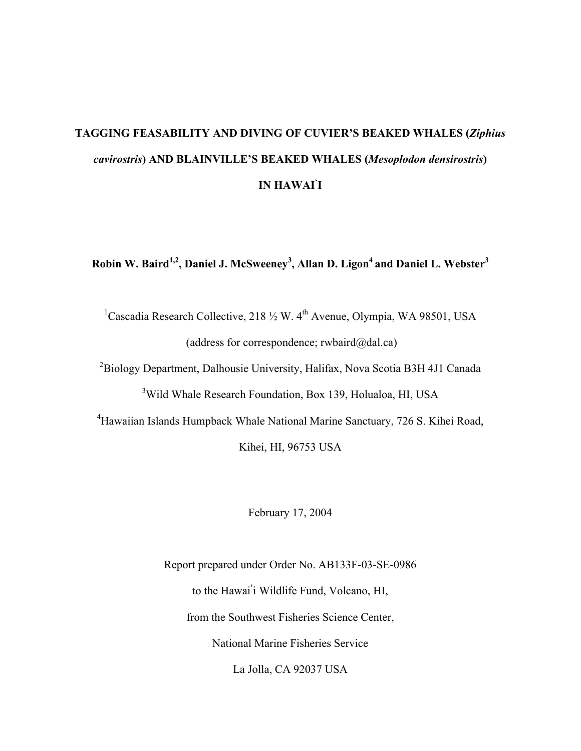# **TAGGING FEASABILITY AND DIVING OF CUVIER'S BEAKED WHALES (***Ziphius cavirostris***) AND BLAINVILLE'S BEAKED WHALES (***Mesoplodon densirostris***) IN HAWAI' I**

**Robin W. Baird1,2, Daniel J. McSweeney3 , Allan D. Ligon4 and Daniel L. Webster3** 

<sup>1</sup>Cascadia Research Collective, 218  $\frac{1}{2}$  W. 4<sup>th</sup> Avenue, Olympia, WA 98501, USA (address for correspondence; rwbaird@dal.ca)

<sup>2</sup>Biology Department, Dalhousie University, Halifax, Nova Scotia B3H 4J1 Canada <sup>3</sup>Wild Whale Research Foundation, Box 139, Holualoa, HI, USA

<sup>4</sup>Hawaiian Islands Humpback Whale National Marine Sanctuary, 726 S. Kihei Road,

Kihei, HI, 96753 USA

February 17, 2004

Report prepared under Order No. AB133F-03-SE-0986 to the Hawai**'** i Wildlife Fund, Volcano, HI, from the Southwest Fisheries Science Center, National Marine Fisheries Service La Jolla, CA 92037 USA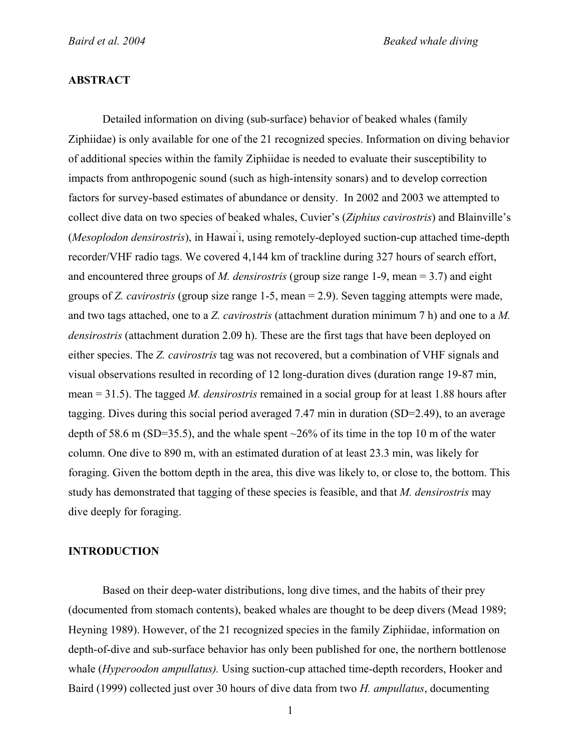### **ABSTRACT**

Detailed information on diving (sub-surface) behavior of beaked whales (family Ziphiidae) is only available for one of the 21 recognized species. Information on diving behavior of additional species within the family Ziphiidae is needed to evaluate their susceptibility to impacts from anthropogenic sound (such as high-intensity sonars) and to develop correction factors for survey-based estimates of abundance or density. In 2002 and 2003 we attempted to collect dive data on two species of beaked whales, Cuvier's (*Ziphius cavirostris*) and Blainville's (*Mesoplodon densirostris*), in Hawai' i, using remotely-deployed suction-cup attached time-depth recorder/VHF radio tags. We covered 4,144 km of trackline during 327 hours of search effort, and encountered three groups of *M. densirostris* (group size range 1-9, mean = 3.7) and eight groups of *Z. cavirostris* (group size range 1-5, mean = 2.9). Seven tagging attempts were made, and two tags attached, one to a *Z. cavirostris* (attachment duration minimum 7 h) and one to a *M. densirostris* (attachment duration 2.09 h). These are the first tags that have been deployed on either species. The *Z. cavirostris* tag was not recovered, but a combination of VHF signals and visual observations resulted in recording of 12 long-duration dives (duration range 19-87 min, mean = 31.5). The tagged *M. densirostris* remained in a social group for at least 1.88 hours after tagging. Dives during this social period averaged 7.47 min in duration (SD=2.49), to an average depth of 58.6 m (SD=35.5), and the whale spent  $\sim$ 26% of its time in the top 10 m of the water column. One dive to 890 m, with an estimated duration of at least 23.3 min, was likely for foraging. Given the bottom depth in the area, this dive was likely to, or close to, the bottom. This study has demonstrated that tagging of these species is feasible, and that *M. densirostris* may dive deeply for foraging.

#### **INTRODUCTION**

Based on their deep-water distributions, long dive times, and the habits of their prey (documented from stomach contents), beaked whales are thought to be deep divers (Mead 1989; Heyning 1989). However, of the 21 recognized species in the family Ziphiidae, information on depth-of-dive and sub-surface behavior has only been published for one, the northern bottlenose whale (*Hyperoodon ampullatus).* Using suction-cup attached time-depth recorders, Hooker and Baird (1999) collected just over 30 hours of dive data from two *H. ampullatus*, documenting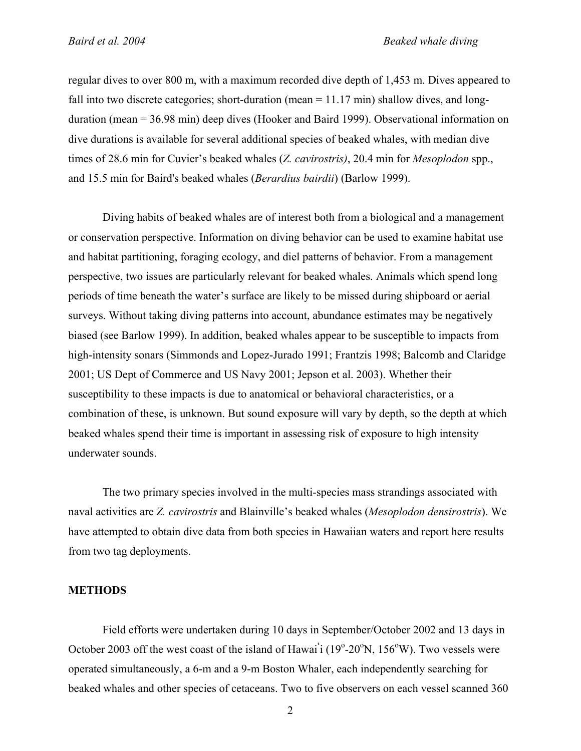regular dives to over 800 m, with a maximum recorded dive depth of 1,453 m. Dives appeared to fall into two discrete categories; short-duration (mean  $= 11.17$  min) shallow dives, and longduration (mean = 36.98 min) deep dives (Hooker and Baird 1999). Observational information on dive durations is available for several additional species of beaked whales, with median dive times of 28.6 min for Cuvier's beaked whales (*Z. cavirostris)*, 20.4 min for *Mesoplodon* spp., and 15.5 min for Baird's beaked whales (*Berardius bairdii*) (Barlow 1999).

Diving habits of beaked whales are of interest both from a biological and a management or conservation perspective. Information on diving behavior can be used to examine habitat use and habitat partitioning, foraging ecology, and diel patterns of behavior. From a management perspective, two issues are particularly relevant for beaked whales. Animals which spend long periods of time beneath the water's surface are likely to be missed during shipboard or aerial surveys. Without taking diving patterns into account, abundance estimates may be negatively biased (see Barlow 1999). In addition, beaked whales appear to be susceptible to impacts from high-intensity sonars (Simmonds and Lopez-Jurado 1991; Frantzis 1998; Balcomb and Claridge 2001; US Dept of Commerce and US Navy 2001; Jepson et al. 2003). Whether their susceptibility to these impacts is due to anatomical or behavioral characteristics, or a combination of these, is unknown. But sound exposure will vary by depth, so the depth at which beaked whales spend their time is important in assessing risk of exposure to high intensity underwater sounds.

The two primary species involved in the multi-species mass strandings associated with naval activities are *Z. cavirostris* and Blainville's beaked whales (*Mesoplodon densirostris*). We have attempted to obtain dive data from both species in Hawaiian waters and report here results from two tag deployments.

#### **METHODS**

Field efforts were undertaken during 10 days in September/October 2002 and 13 days in October 2003 off the west coast of the island of Hawai<sup>'</sup>i (19<sup>o</sup>-20<sup>o</sup>N, 156<sup>o</sup>W). Two vessels were operated simultaneously, a 6-m and a 9-m Boston Whaler, each independently searching for beaked whales and other species of cetaceans. Two to five observers on each vessel scanned 360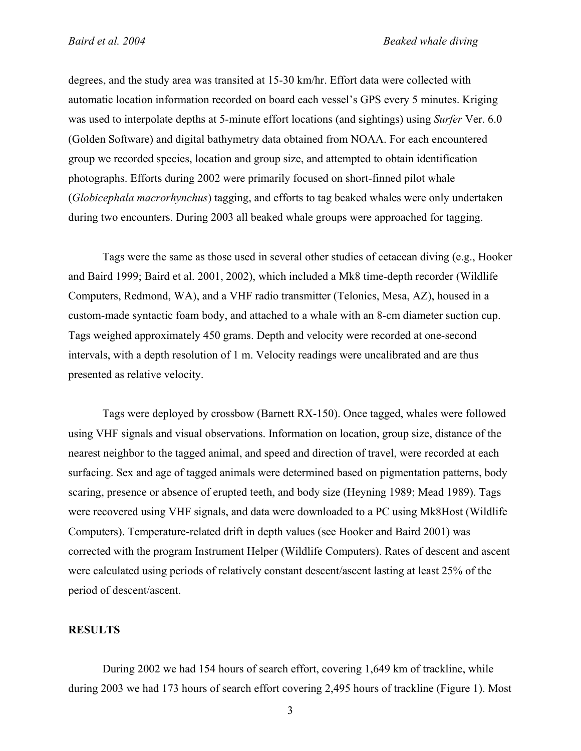degrees, and the study area was transited at 15-30 km/hr. Effort data were collected with automatic location information recorded on board each vessel's GPS every 5 minutes. Kriging was used to interpolate depths at 5-minute effort locations (and sightings) using *Surfer* Ver. 6.0 (Golden Software) and digital bathymetry data obtained from NOAA. For each encountered group we recorded species, location and group size, and attempted to obtain identification photographs. Efforts during 2002 were primarily focused on short-finned pilot whale (*Globicephala macrorhynchus*) tagging, and efforts to tag beaked whales were only undertaken during two encounters. During 2003 all beaked whale groups were approached for tagging.

Tags were the same as those used in several other studies of cetacean diving (e.g., Hooker and Baird 1999; Baird et al. 2001, 2002), which included a Mk8 time-depth recorder (Wildlife Computers, Redmond, WA), and a VHF radio transmitter (Telonics, Mesa, AZ), housed in a custom-made syntactic foam body, and attached to a whale with an 8-cm diameter suction cup. Tags weighed approximately 450 grams. Depth and velocity were recorded at one-second intervals, with a depth resolution of 1 m. Velocity readings were uncalibrated and are thus presented as relative velocity.

Tags were deployed by crossbow (Barnett RX-150). Once tagged, whales were followed using VHF signals and visual observations. Information on location, group size, distance of the nearest neighbor to the tagged animal, and speed and direction of travel, were recorded at each surfacing. Sex and age of tagged animals were determined based on pigmentation patterns, body scaring, presence or absence of erupted teeth, and body size (Heyning 1989; Mead 1989). Tags were recovered using VHF signals, and data were downloaded to a PC using Mk8Host (Wildlife Computers). Temperature-related drift in depth values (see Hooker and Baird 2001) was corrected with the program Instrument Helper (Wildlife Computers). Rates of descent and ascent were calculated using periods of relatively constant descent/ascent lasting at least 25% of the period of descent/ascent.

#### **RESULTS**

During 2002 we had 154 hours of search effort, covering 1,649 km of trackline, while during 2003 we had 173 hours of search effort covering 2,495 hours of trackline (Figure 1). Most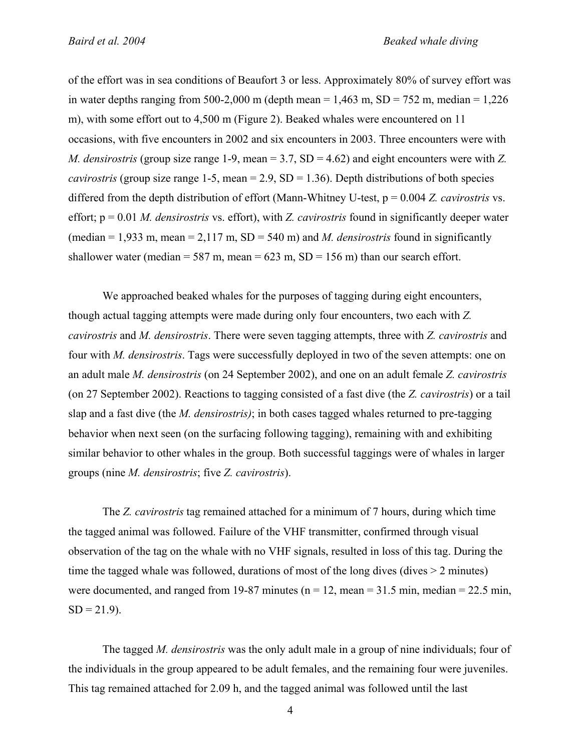of the effort was in sea conditions of Beaufort 3 or less. Approximately 80% of survey effort was in water depths ranging from 500-2,000 m (depth mean  $= 1.463$  m, SD = 752 m, median  $= 1.226$ m), with some effort out to 4,500 m (Figure 2). Beaked whales were encountered on 11 occasions, with five encounters in 2002 and six encounters in 2003. Three encounters were with *M. densirostris* (group size range 1-9, mean = 3.7, SD = 4.62) and eight encounters were with *Z. cavirostris* (group size range 1-5, mean  $= 2.9$ , SD  $= 1.36$ ). Depth distributions of both species differed from the depth distribution of effort (Mann-Whitney U-test, p = 0.004 *Z. cavirostris* vs. effort; p = 0.01 *M. densirostris* vs. effort), with *Z. cavirostris* found in significantly deeper water (median  $= 1.933$  m, mean  $= 2.117$  m, SD  $= 540$  m) and *M. densirostris* found in significantly shallower water (median = 587 m, mean = 623 m,  $SD = 156$  m) than our search effort.

We approached beaked whales for the purposes of tagging during eight encounters, though actual tagging attempts were made during only four encounters, two each with *Z. cavirostris* and *M. densirostris*. There were seven tagging attempts, three with *Z. cavirostris* and four with *M. densirostris*. Tags were successfully deployed in two of the seven attempts: one on an adult male *M. densirostris* (on 24 September 2002), and one on an adult female *Z. cavirostris*  (on 27 September 2002). Reactions to tagging consisted of a fast dive (the *Z. cavirostris*) or a tail slap and a fast dive (the *M. densirostris)*; in both cases tagged whales returned to pre-tagging behavior when next seen (on the surfacing following tagging), remaining with and exhibiting similar behavior to other whales in the group. Both successful taggings were of whales in larger groups (nine *M. densirostris*; five *Z. cavirostris*).

The *Z. cavirostris* tag remained attached for a minimum of 7 hours, during which time the tagged animal was followed. Failure of the VHF transmitter, confirmed through visual observation of the tag on the whale with no VHF signals, resulted in loss of this tag. During the time the tagged whale was followed, durations of most of the long dives (dives  $> 2$  minutes) were documented, and ranged from 19-87 minutes ( $n = 12$ , mean = 31.5 min, median = 22.5 min,  $SD = 21.9$ ).

The tagged *M. densirostris* was the only adult male in a group of nine individuals; four of the individuals in the group appeared to be adult females, and the remaining four were juveniles. This tag remained attached for 2.09 h, and the tagged animal was followed until the last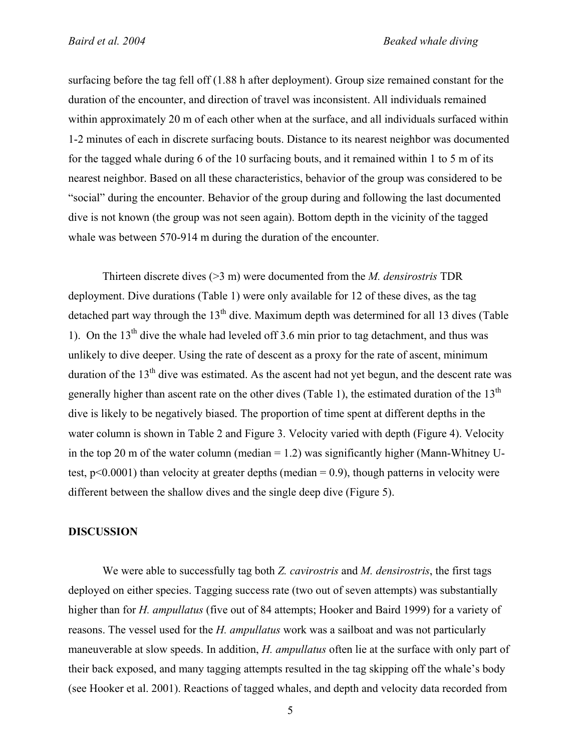surfacing before the tag fell off (1.88 h after deployment). Group size remained constant for the duration of the encounter, and direction of travel was inconsistent. All individuals remained within approximately 20 m of each other when at the surface, and all individuals surfaced within 1-2 minutes of each in discrete surfacing bouts. Distance to its nearest neighbor was documented for the tagged whale during 6 of the 10 surfacing bouts, and it remained within 1 to 5 m of its nearest neighbor. Based on all these characteristics, behavior of the group was considered to be "social" during the encounter. Behavior of the group during and following the last documented dive is not known (the group was not seen again). Bottom depth in the vicinity of the tagged whale was between 570-914 m during the duration of the encounter.

Thirteen discrete dives (>3 m) were documented from the *M. densirostris* TDR deployment. Dive durations (Table 1) were only available for 12 of these dives, as the tag detached part way through the  $13<sup>th</sup>$  dive. Maximum depth was determined for all 13 dives (Table 1). On the  $13<sup>th</sup>$  dive the whale had leveled off 3.6 min prior to tag detachment, and thus was unlikely to dive deeper. Using the rate of descent as a proxy for the rate of ascent, minimum duration of the  $13<sup>th</sup>$  dive was estimated. As the ascent had not yet begun, and the descent rate was generally higher than ascent rate on the other dives (Table 1), the estimated duration of the  $13<sup>th</sup>$ dive is likely to be negatively biased. The proportion of time spent at different depths in the water column is shown in Table 2 and Figure 3. Velocity varied with depth (Figure 4). Velocity in the top 20 m of the water column (median  $= 1.2$ ) was significantly higher (Mann-Whitney Utest,  $p<0.0001$ ) than velocity at greater depths (median = 0.9), though patterns in velocity were different between the shallow dives and the single deep dive (Figure 5).

### **DISCUSSION**

We were able to successfully tag both *Z. cavirostris* and *M. densirostris*, the first tags deployed on either species. Tagging success rate (two out of seven attempts) was substantially higher than for *H. ampullatus* (five out of 84 attempts; Hooker and Baird 1999) for a variety of reasons. The vessel used for the *H. ampullatus* work was a sailboat and was not particularly maneuverable at slow speeds. In addition, *H. ampullatus* often lie at the surface with only part of their back exposed, and many tagging attempts resulted in the tag skipping off the whale's body (see Hooker et al. 2001). Reactions of tagged whales, and depth and velocity data recorded from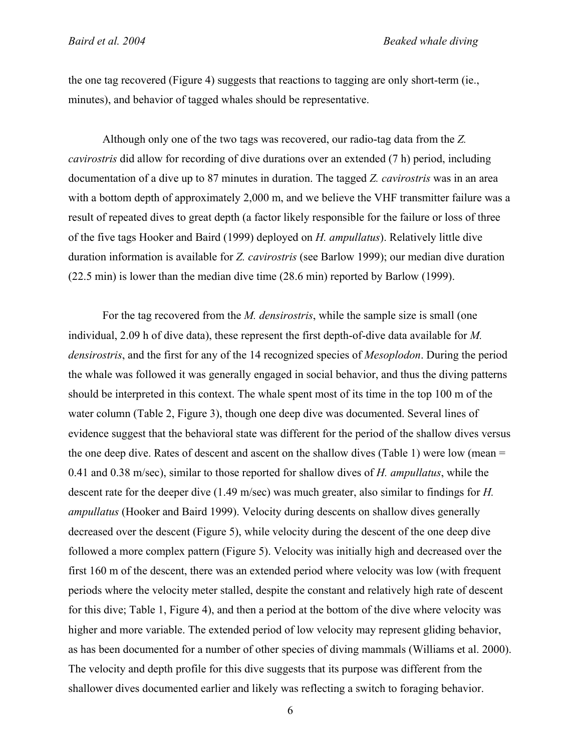the one tag recovered (Figure 4) suggests that reactions to tagging are only short-term (ie., minutes), and behavior of tagged whales should be representative.

Although only one of the two tags was recovered, our radio-tag data from the *Z. cavirostris* did allow for recording of dive durations over an extended (7 h) period, including documentation of a dive up to 87 minutes in duration. The tagged *Z. cavirostris* was in an area with a bottom depth of approximately 2,000 m, and we believe the VHF transmitter failure was a result of repeated dives to great depth (a factor likely responsible for the failure or loss of three of the five tags Hooker and Baird (1999) deployed on *H. ampullatus*). Relatively little dive duration information is available for *Z. cavirostris* (see Barlow 1999); our median dive duration (22.5 min) is lower than the median dive time (28.6 min) reported by Barlow (1999).

For the tag recovered from the *M. densirostris*, while the sample size is small (one individual, 2.09 h of dive data), these represent the first depth-of-dive data available for *M. densirostris*, and the first for any of the 14 recognized species of *Mesoplodon*. During the period the whale was followed it was generally engaged in social behavior, and thus the diving patterns should be interpreted in this context. The whale spent most of its time in the top 100 m of the water column (Table 2, Figure 3), though one deep dive was documented. Several lines of evidence suggest that the behavioral state was different for the period of the shallow dives versus the one deep dive. Rates of descent and ascent on the shallow dives (Table 1) were low (mean = 0.41 and 0.38 m/sec), similar to those reported for shallow dives of *H. ampullatus*, while the descent rate for the deeper dive (1.49 m/sec) was much greater, also similar to findings for *H. ampullatus* (Hooker and Baird 1999). Velocity during descents on shallow dives generally decreased over the descent (Figure 5), while velocity during the descent of the one deep dive followed a more complex pattern (Figure 5). Velocity was initially high and decreased over the first 160 m of the descent, there was an extended period where velocity was low (with frequent periods where the velocity meter stalled, despite the constant and relatively high rate of descent for this dive; Table 1, Figure 4), and then a period at the bottom of the dive where velocity was higher and more variable. The extended period of low velocity may represent gliding behavior, as has been documented for a number of other species of diving mammals (Williams et al. 2000). The velocity and depth profile for this dive suggests that its purpose was different from the shallower dives documented earlier and likely was reflecting a switch to foraging behavior.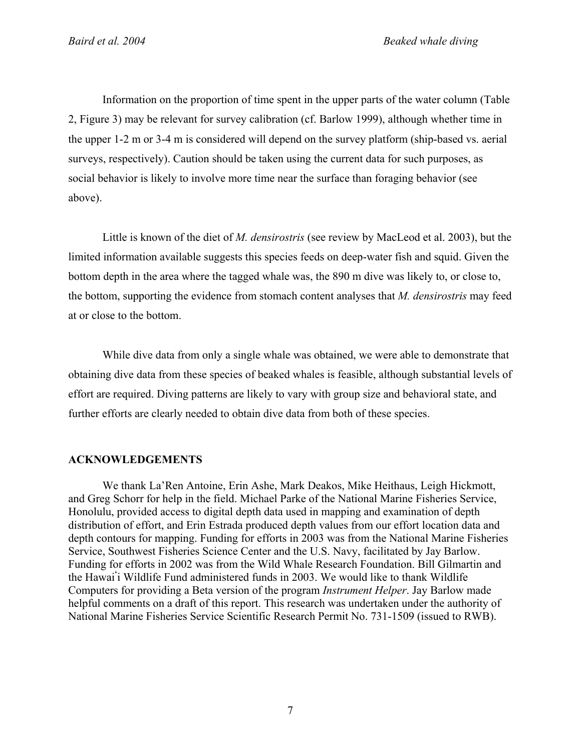Information on the proportion of time spent in the upper parts of the water column (Table 2, Figure 3) may be relevant for survey calibration (cf. Barlow 1999), although whether time in the upper 1-2 m or 3-4 m is considered will depend on the survey platform (ship-based vs. aerial surveys, respectively). Caution should be taken using the current data for such purposes, as social behavior is likely to involve more time near the surface than foraging behavior (see above).

Little is known of the diet of *M. densirostris* (see review by MacLeod et al. 2003), but the limited information available suggests this species feeds on deep-water fish and squid. Given the bottom depth in the area where the tagged whale was, the 890 m dive was likely to, or close to, the bottom, supporting the evidence from stomach content analyses that *M. densirostris* may feed at or close to the bottom.

While dive data from only a single whale was obtained, we were able to demonstrate that obtaining dive data from these species of beaked whales is feasible, although substantial levels of effort are required. Diving patterns are likely to vary with group size and behavioral state, and further efforts are clearly needed to obtain dive data from both of these species.

## **ACKNOWLEDGEMENTS**

We thank La'Ren Antoine, Erin Ashe, Mark Deakos, Mike Heithaus, Leigh Hickmott, and Greg Schorr for help in the field. Michael Parke of the National Marine Fisheries Service, Honolulu, provided access to digital depth data used in mapping and examination of depth distribution of effort, and Erin Estrada produced depth values from our effort location data and depth contours for mapping. Funding for efforts in 2003 was from the National Marine Fisheries Service, Southwest Fisheries Science Center and the U.S. Navy, facilitated by Jay Barlow. Funding for efforts in 2002 was from the Wild Whale Research Foundation. Bill Gilmartin and the Hawai**'** i Wildlife Fund administered funds in 2003. We would like to thank Wildlife Computers for providing a Beta version of the program *Instrument Helper*. Jay Barlow made helpful comments on a draft of this report. This research was undertaken under the authority of National Marine Fisheries Service Scientific Research Permit No. 731-1509 (issued to RWB).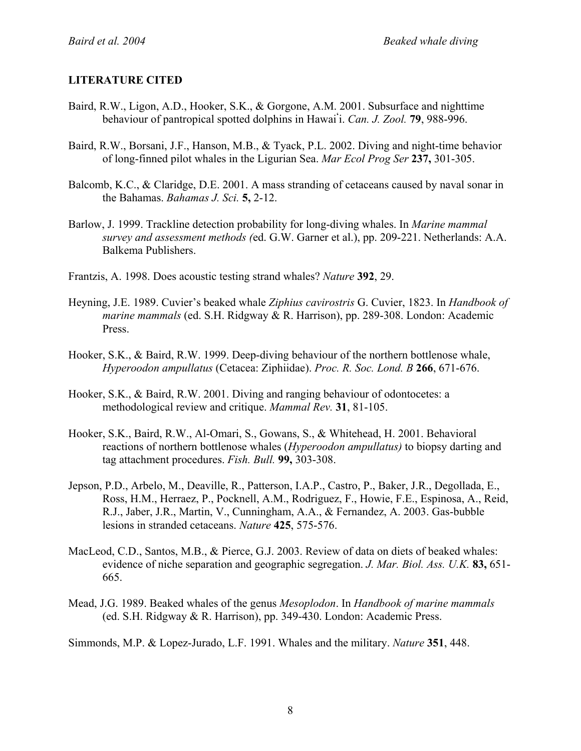# **LITERATURE CITED**

- Baird, R.W., Ligon, A.D., Hooker, S.K., & Gorgone, A.M. 2001. Subsurface and nighttime behaviour of pantropical spotted dolphins in Hawai**'** i. *Can. J. Zool.* **79**, 988-996.
- Baird, R.W., Borsani, J.F., Hanson, M.B., & Tyack, P.L. 2002. Diving and night-time behavior of long-finned pilot whales in the Ligurian Sea. *Mar Ecol Prog Ser* **237,** 301-305.
- Balcomb, K.C., & Claridge, D.E. 2001. A mass stranding of cetaceans caused by naval sonar in the Bahamas. *Bahamas J. Sci.* **5,** 2-12.
- Barlow, J. 1999. Trackline detection probability for long-diving whales. In *Marine mammal survey and assessment methods (*ed. G.W. Garner et al.), pp. 209-221. Netherlands: A.A. Balkema Publishers.
- Frantzis, A. 1998. Does acoustic testing strand whales? *Nature* **392**, 29.
- Heyning, J.E. 1989. Cuvier's beaked whale *Ziphius cavirostris* G. Cuvier, 1823. In *Handbook of marine mammals* (ed. S.H. Ridgway & R. Harrison), pp. 289-308. London: Academic Press.
- Hooker, S.K., & Baird, R.W. 1999. Deep-diving behaviour of the northern bottlenose whale, *Hyperoodon ampullatus* (Cetacea: Ziphiidae). *Proc. R. Soc. Lond. B* **266**, 671-676.
- Hooker, S.K., & Baird, R.W. 2001. Diving and ranging behaviour of odontocetes: a methodological review and critique. *Mammal Rev.* **31**, 81-105.
- Hooker, S.K., Baird, R.W., Al-Omari, S., Gowans, S., & Whitehead, H. 2001. Behavioral reactions of northern bottlenose whales (*Hyperoodon ampullatus)* to biopsy darting and tag attachment procedures. *Fish. Bull.* **99,** 303-308.
- Jepson, P.D., Arbelo, M., Deaville, R., Patterson, I.A.P., Castro, P., Baker, J.R., Degollada, E., Ross, H.M., Herraez, P., Pocknell, A.M., Rodriguez, F., Howie, F.E., Espinosa, A., Reid, R.J., Jaber, J.R., Martin, V., Cunningham, A.A., & Fernandez, A. 2003. Gas-bubble lesions in stranded cetaceans. *Nature* **425**, 575-576.
- MacLeod, C.D., Santos, M.B., & Pierce, G.J. 2003. Review of data on diets of beaked whales: evidence of niche separation and geographic segregation. *J. Mar. Biol. Ass. U.K.* **83,** 651- 665.
- Mead, J.G. 1989. Beaked whales of the genus *Mesoplodon*. In *Handbook of marine mammals* (ed. S.H. Ridgway & R. Harrison), pp. 349-430. London: Academic Press.

Simmonds, M.P. & Lopez-Jurado, L.F. 1991. Whales and the military. *Nature* **351**, 448.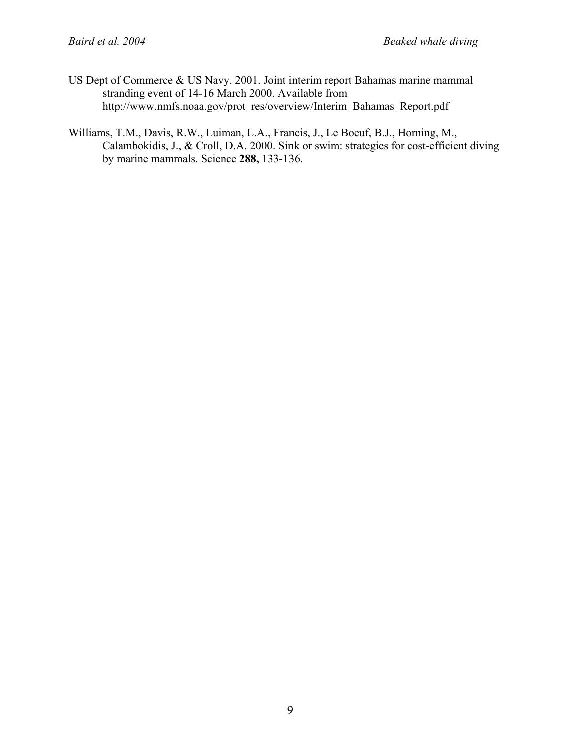US Dept of Commerce & US Navy. 2001. Joint interim report Bahamas marine mammal stranding event of 14-16 March 2000. Available from http://www.nmfs.noaa.gov/prot\_res/overview/Interim\_Bahamas\_Report.pdf

Williams, T.M., Davis, R.W., Luiman, L.A., Francis, J., Le Boeuf, B.J., Horning, M., Calambokidis, J., & Croll, D.A. 2000. Sink or swim: strategies for cost-efficient diving by marine mammals. Science **288,** 133-136.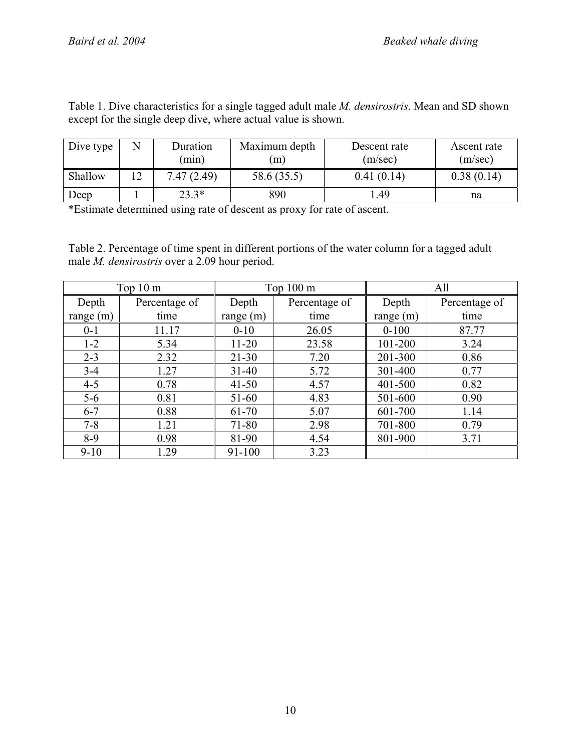| except for the single deep dive, where actual value is shown. |   |                   |                     |                         |                        |  |  |  |  |
|---------------------------------------------------------------|---|-------------------|---------------------|-------------------------|------------------------|--|--|--|--|
| Dive type                                                     | N | Duration<br>(min) | Maximum depth<br>m) | Descent rate<br>(m/sec) | Ascent rate<br>(m/sec) |  |  |  |  |
| Shallow                                                       |   | 7.47(2.49)        | 58.6 (35.5)         | 0.41(0.14)              | 0.38(0.14)             |  |  |  |  |

Table 1. Dive characteristics for a single tagged adult male *M. densirostris*. Mean and SD shown except for the single deep dive, where actual value is shown.

\*Estimate determined using rate of descent as proxy for rate of ascent.

Table 2. Percentage of time spent in different portions of the water column for a tagged adult male *M. densirostris* over a 2.09 hour period.

Deep | 1 | 23.3<sup>\*</sup> | 890 | 1.49 | na

| Top $10 \text{ m}$ |               | Top $100 \text{ m}$ |               | All         |               |
|--------------------|---------------|---------------------|---------------|-------------|---------------|
| Depth              | Percentage of | Depth               | Percentage of | Depth       | Percentage of |
| range $(m)$        | time          | range $(m)$         | time          | range $(m)$ | time          |
| $0 - 1$            | 11.17         | $0 - 10$            | 26.05         | $0 - 100$   | 87.77         |
| $1 - 2$            | 5.34          | $11 - 20$           | 23.58         | 101-200     | 3.24          |
| $2 - 3$            | 2.32          | $21 - 30$           | 7.20          | 201-300     | 0.86          |
| $3 - 4$            | 1.27          | $31 - 40$           | 5.72          | 301-400     | 0.77          |
| $4 - 5$            | 0.78          | $41 - 50$           | 4.57          | 401-500     | 0.82          |
| $5-6$              | 0.81          | 51-60               | 4.83          | 501-600     | 0.90          |
| $6 - 7$            | 0.88          | 61-70               | 5.07          | 601-700     | 1.14          |
| $7 - 8$            | 1.21          | 71-80               | 2.98          | 701-800     | 0.79          |
| $8-9$              | 0.98          | 81-90               | 4.54          | 801-900     | 3.71          |
| $9 - 10$           | 1.29          | 91-100              | 3.23          |             |               |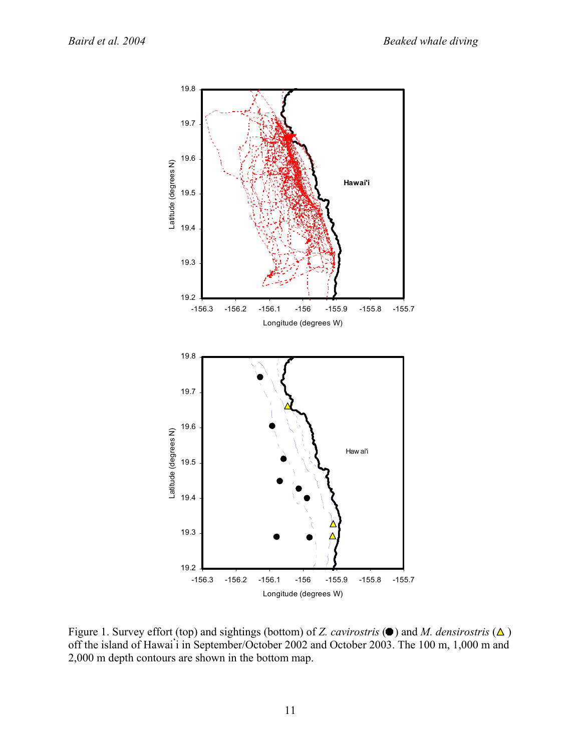

Figure 1. Survey effort (top) and sightings (bottom) of *Z. cavirostris*  $(\bullet)$  and *M. densirostris*  $(\triangle)$ off the island of Hawai**'** i in September/October 2002 and October 2003. The 100 m, 1,000 m and 2,000 m depth contours are shown in the bottom map.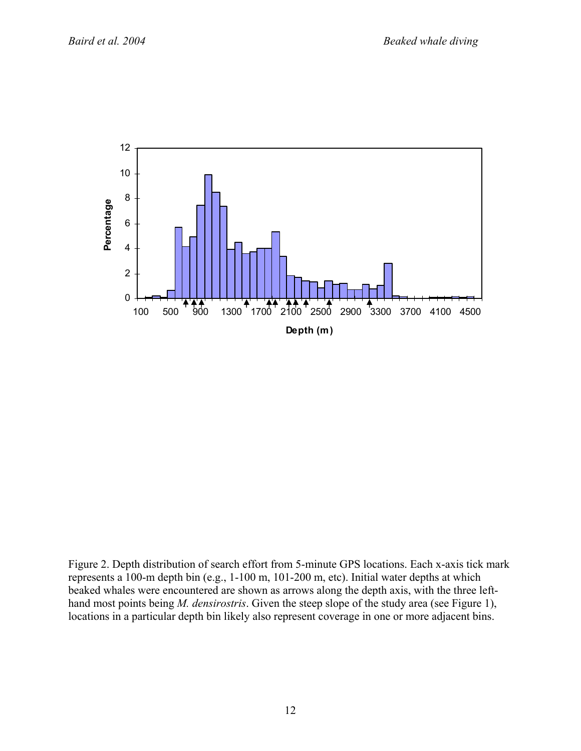

Figure 2. Depth distribution of search effort from 5-minute GPS locations. Each x-axis tick mark represents a 100-m depth bin (e.g., 1-100 m, 101-200 m, etc). Initial water depths at which beaked whales were encountered are shown as arrows along the depth axis, with the three lefthand most points being *M. densirostris*. Given the steep slope of the study area (see Figure 1), locations in a particular depth bin likely also represent coverage in one or more adjacent bins.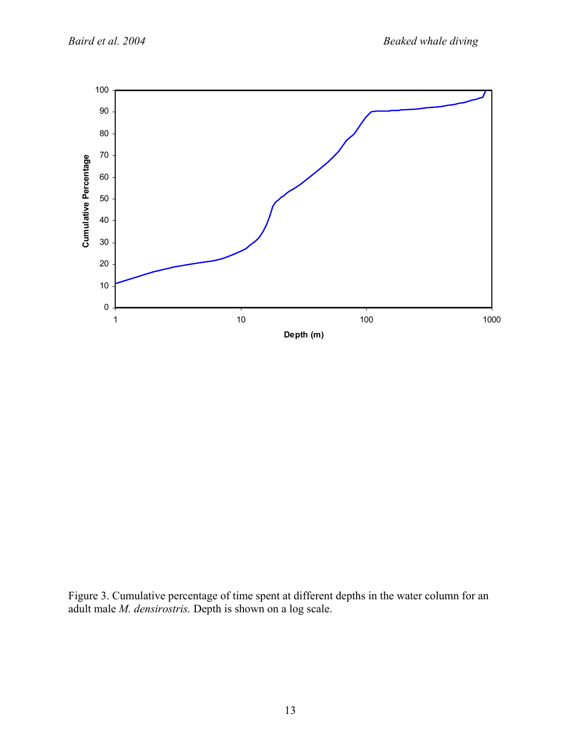

Figure 3. Cumulative percentage of time spent at different depths in the water column for an adult male *M. densirostris.* Depth is shown on a log scale.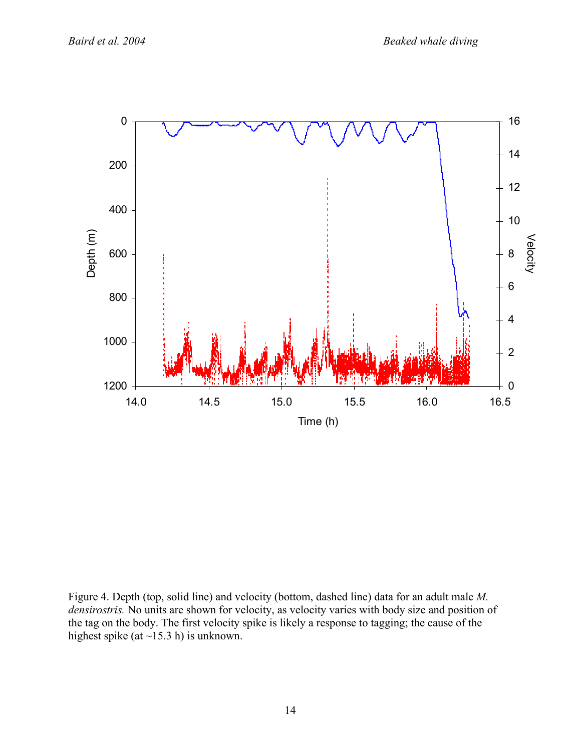

Figure 4. Depth (top, solid line) and velocity (bottom, dashed line) data for an adult male *M. densirostris.* No units are shown for velocity, as velocity varies with body size and position of the tag on the body. The first velocity spike is likely a response to tagging; the cause of the highest spike (at  $\sim$ 15.3 h) is unknown.